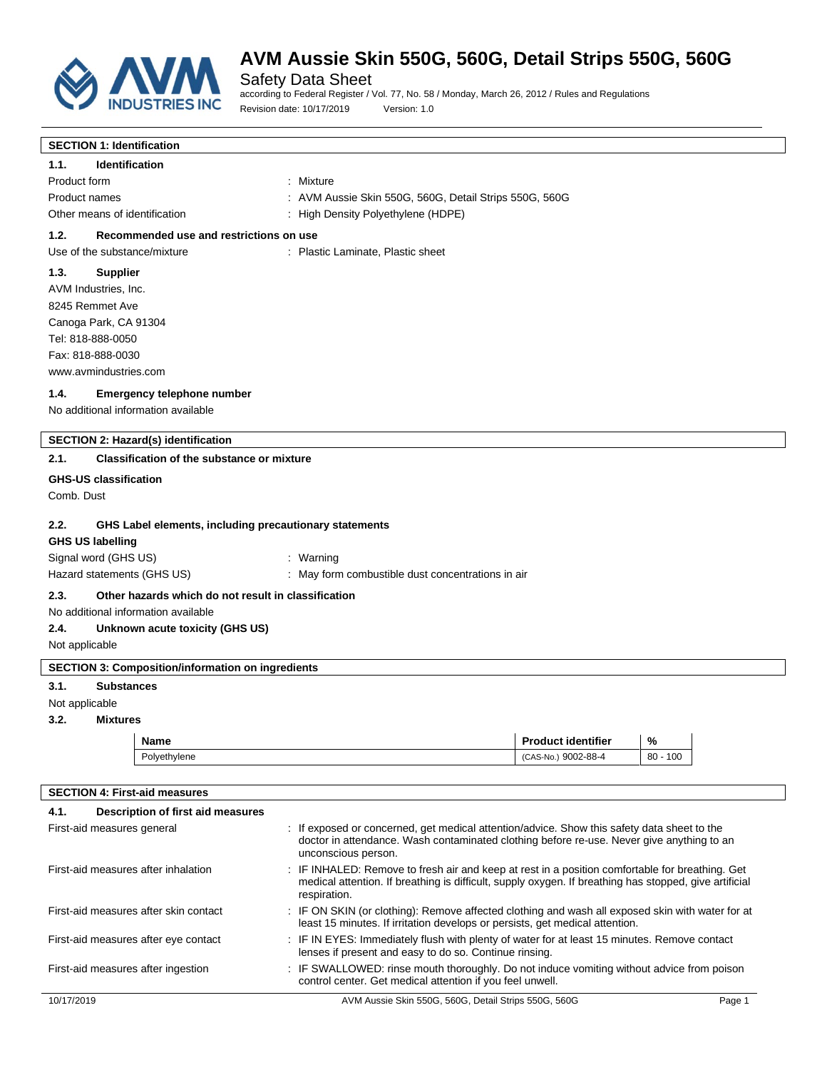

Safety Data Sheet according to Federal Register / Vol. 77, No. 58 / Monday, March 26, 2012 / Rules and Regulations Revision date: 10/17/2019 Version: 1.0

| <b>SECTION 1: Identification</b>                                                                                                                                                                                                                                 |                                                                                                                                                                                  |               |  |
|------------------------------------------------------------------------------------------------------------------------------------------------------------------------------------------------------------------------------------------------------------------|----------------------------------------------------------------------------------------------------------------------------------------------------------------------------------|---------------|--|
| 1.1.<br><b>Identification</b>                                                                                                                                                                                                                                    |                                                                                                                                                                                  |               |  |
| Product form                                                                                                                                                                                                                                                     | : Mixture                                                                                                                                                                        |               |  |
| Product names                                                                                                                                                                                                                                                    | : AVM Aussie Skin 550G, 560G, Detail Strips 550G, 560G                                                                                                                           |               |  |
| Other means of identification                                                                                                                                                                                                                                    | : High Density Polyethylene (HDPE)                                                                                                                                               |               |  |
| 1.2.<br>Recommended use and restrictions on use                                                                                                                                                                                                                  |                                                                                                                                                                                  |               |  |
| Use of the substance/mixture                                                                                                                                                                                                                                     | : Plastic Laminate, Plastic sheet                                                                                                                                                |               |  |
| 1.3.<br><b>Supplier</b>                                                                                                                                                                                                                                          |                                                                                                                                                                                  |               |  |
| AVM Industries, Inc.                                                                                                                                                                                                                                             |                                                                                                                                                                                  |               |  |
| 8245 Remmet Ave                                                                                                                                                                                                                                                  |                                                                                                                                                                                  |               |  |
| Canoga Park, CA 91304                                                                                                                                                                                                                                            |                                                                                                                                                                                  |               |  |
| Tel: 818-888-0050                                                                                                                                                                                                                                                |                                                                                                                                                                                  |               |  |
| Fax: 818-888-0030                                                                                                                                                                                                                                                |                                                                                                                                                                                  |               |  |
| www.avmindustries.com                                                                                                                                                                                                                                            |                                                                                                                                                                                  |               |  |
| 1.4.<br>Emergency telephone number                                                                                                                                                                                                                               |                                                                                                                                                                                  |               |  |
| No additional information available                                                                                                                                                                                                                              |                                                                                                                                                                                  |               |  |
|                                                                                                                                                                                                                                                                  |                                                                                                                                                                                  |               |  |
| SECTION 2: Hazard(s) identification                                                                                                                                                                                                                              |                                                                                                                                                                                  |               |  |
| 2.1.<br><b>Classification of the substance or mixture</b>                                                                                                                                                                                                        |                                                                                                                                                                                  |               |  |
| <b>GHS-US classification</b>                                                                                                                                                                                                                                     |                                                                                                                                                                                  |               |  |
| Comb. Dust                                                                                                                                                                                                                                                       |                                                                                                                                                                                  |               |  |
|                                                                                                                                                                                                                                                                  |                                                                                                                                                                                  |               |  |
| 2.2.<br>GHS Label elements, including precautionary statements                                                                                                                                                                                                   |                                                                                                                                                                                  |               |  |
| <b>GHS US labelling</b>                                                                                                                                                                                                                                          |                                                                                                                                                                                  |               |  |
| Signal word (GHS US)                                                                                                                                                                                                                                             | : Warning                                                                                                                                                                        |               |  |
| Hazard statements (GHS US)<br>: May form combustible dust concentrations in air                                                                                                                                                                                  |                                                                                                                                                                                  |               |  |
| 2.3.<br>Other hazards which do not result in classification                                                                                                                                                                                                      |                                                                                                                                                                                  |               |  |
| No additional information available                                                                                                                                                                                                                              |                                                                                                                                                                                  |               |  |
| 2.4.<br>Unknown acute toxicity (GHS US)                                                                                                                                                                                                                          |                                                                                                                                                                                  |               |  |
| Not applicable                                                                                                                                                                                                                                                   |                                                                                                                                                                                  |               |  |
| <b>SECTION 3: Composition/information on ingredients</b>                                                                                                                                                                                                         |                                                                                                                                                                                  |               |  |
| 3.1.<br><b>Substances</b>                                                                                                                                                                                                                                        |                                                                                                                                                                                  |               |  |
| Not applicable                                                                                                                                                                                                                                                   |                                                                                                                                                                                  |               |  |
| 3.2.<br><b>Mixtures</b>                                                                                                                                                                                                                                          |                                                                                                                                                                                  |               |  |
| <b>Name</b>                                                                                                                                                                                                                                                      | <b>Product identifier</b>                                                                                                                                                        | $\frac{9}{6}$ |  |
| Polyethylene                                                                                                                                                                                                                                                     | (CAS-No.) 9002-88-4                                                                                                                                                              | $80 - 100$    |  |
|                                                                                                                                                                                                                                                                  |                                                                                                                                                                                  |               |  |
| <b>SECTION 4: First-aid measures</b>                                                                                                                                                                                                                             |                                                                                                                                                                                  |               |  |
| 4.1.<br>Description of first aid measures                                                                                                                                                                                                                        |                                                                                                                                                                                  |               |  |
| First-aid measures general                                                                                                                                                                                                                                       | : If exposed or concerned, get medical attention/advice. Show this safety data sheet to the                                                                                      |               |  |
|                                                                                                                                                                                                                                                                  | doctor in attendance. Wash contaminated clothing before re-use. Never give anything to an<br>unconscious person.                                                                 |               |  |
| First-aid measures after inhalation<br>: IF INHALED: Remove to fresh air and keep at rest in a position comfortable for breathing. Get<br>medical attention. If breathing is difficult, supply oxygen. If breathing has stopped, give artificial<br>respiration. |                                                                                                                                                                                  |               |  |
| First-aid measures after skin contact                                                                                                                                                                                                                            | : IF ON SKIN (or clothing): Remove affected clothing and wash all exposed skin with water for at<br>least 15 minutes. If irritation develops or persists, get medical attention. |               |  |
| First-aid measures after eye contact                                                                                                                                                                                                                             | : IF IN EYES: Immediately flush with plenty of water for at least 15 minutes. Remove contact<br>lenses if present and easy to do so. Continue rinsing.                           |               |  |
| First-aid measures after ingestion                                                                                                                                                                                                                               | : IF SWALLOWED: rinse mouth thoroughly. Do not induce vomiting without advice from poison<br>control center. Get medical attention if you feel unwell.                           |               |  |
| 10/17/2019                                                                                                                                                                                                                                                       | AVM Aussie Skin 550G, 560G, Detail Strips 550G, 560G                                                                                                                             | Page 1        |  |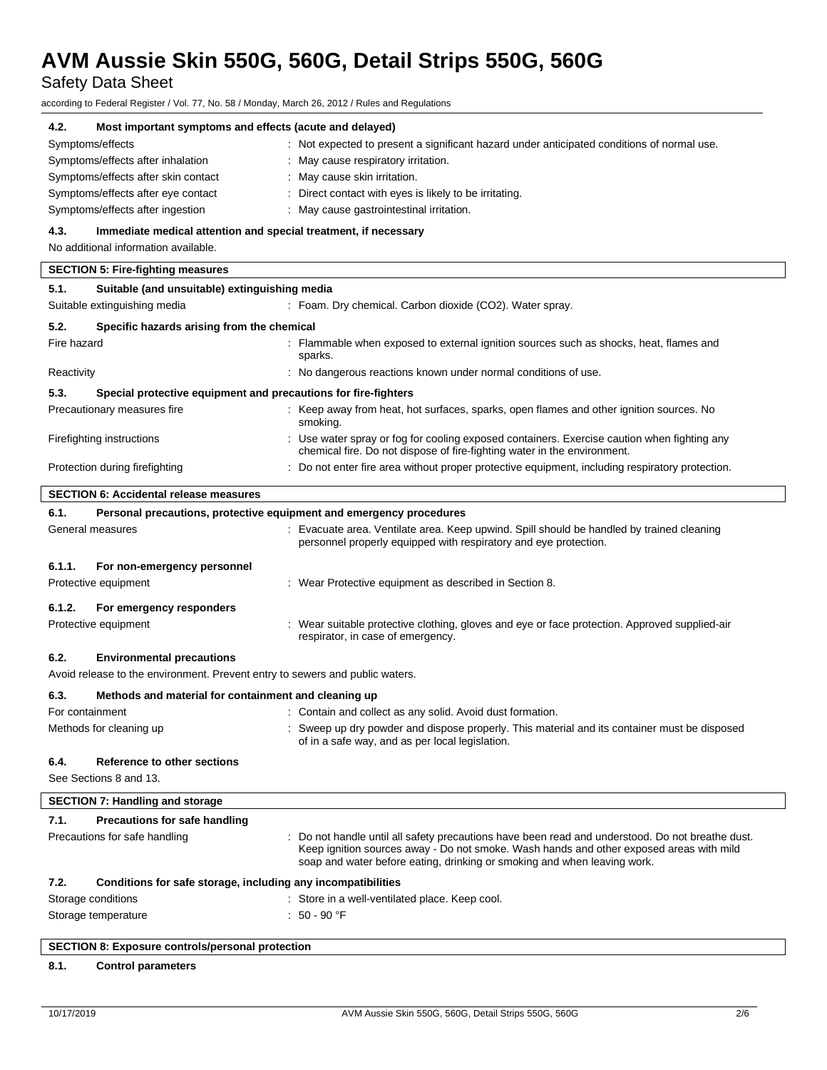Safety Data Sheet

according to Federal Register / Vol. 77, No. 58 / Monday, March 26, 2012 / Rules and Regulations

| 4.2.                                                    | Most important symptoms and effects (acute and delayed)                      |                                                                                                                                                                                                                                                                         |
|---------------------------------------------------------|------------------------------------------------------------------------------|-------------------------------------------------------------------------------------------------------------------------------------------------------------------------------------------------------------------------------------------------------------------------|
| Symptoms/effects                                        |                                                                              | : Not expected to present a significant hazard under anticipated conditions of normal use.                                                                                                                                                                              |
|                                                         | Symptoms/effects after inhalation                                            | : May cause respiratory irritation.                                                                                                                                                                                                                                     |
|                                                         | Symptoms/effects after skin contact                                          | : May cause skin irritation.                                                                                                                                                                                                                                            |
|                                                         | Symptoms/effects after eye contact                                           | : Direct contact with eyes is likely to be irritating.                                                                                                                                                                                                                  |
|                                                         | Symptoms/effects after ingestion                                             | : May cause gastrointestinal irritation.                                                                                                                                                                                                                                |
| 4.3.                                                    | Immediate medical attention and special treatment, if necessary              |                                                                                                                                                                                                                                                                         |
|                                                         | No additional information available.                                         |                                                                                                                                                                                                                                                                         |
|                                                         | <b>SECTION 5: Fire-fighting measures</b>                                     |                                                                                                                                                                                                                                                                         |
| 5.1.                                                    | Suitable (and unsuitable) extinguishing media                                |                                                                                                                                                                                                                                                                         |
| Suitable extinguishing media                            |                                                                              | : Foam. Dry chemical. Carbon dioxide (CO2). Water spray.                                                                                                                                                                                                                |
| 5.2.                                                    | Specific hazards arising from the chemical                                   |                                                                                                                                                                                                                                                                         |
| Fire hazard                                             |                                                                              | : Flammable when exposed to external ignition sources such as shocks, heat, flames and                                                                                                                                                                                  |
|                                                         |                                                                              | sparks.                                                                                                                                                                                                                                                                 |
| Reactivity                                              |                                                                              | : No dangerous reactions known under normal conditions of use.                                                                                                                                                                                                          |
| 5.3.                                                    | Special protective equipment and precautions for fire-fighters               |                                                                                                                                                                                                                                                                         |
| Precautionary measures fire                             |                                                                              | : Keep away from heat, hot surfaces, sparks, open flames and other ignition sources. No<br>smoking.                                                                                                                                                                     |
| Firefighting instructions                               |                                                                              | : Use water spray or fog for cooling exposed containers. Exercise caution when fighting any<br>chemical fire. Do not dispose of fire-fighting water in the environment.                                                                                                 |
| Protection during firefighting                          |                                                                              | : Do not enter fire area without proper protective equipment, including respiratory protection.                                                                                                                                                                         |
|                                                         | <b>SECTION 6: Accidental release measures</b>                                |                                                                                                                                                                                                                                                                         |
| 6.1.                                                    |                                                                              | Personal precautions, protective equipment and emergency procedures                                                                                                                                                                                                     |
| General measures                                        |                                                                              | : Evacuate area. Ventilate area. Keep upwind. Spill should be handled by trained cleaning<br>personnel properly equipped with respiratory and eye protection.                                                                                                           |
| 6.1.1.                                                  | For non-emergency personnel                                                  |                                                                                                                                                                                                                                                                         |
| Protective equipment                                    |                                                                              | : Wear Protective equipment as described in Section 8.                                                                                                                                                                                                                  |
| 6.1.2.                                                  |                                                                              |                                                                                                                                                                                                                                                                         |
| Protective equipment                                    | For emergency responders                                                     | Wear suitable protective clothing, gloves and eye or face protection. Approved supplied-air                                                                                                                                                                             |
|                                                         |                                                                              | respirator, in case of emergency.                                                                                                                                                                                                                                       |
| 6.2.                                                    | <b>Environmental precautions</b>                                             |                                                                                                                                                                                                                                                                         |
|                                                         | Avoid release to the environment. Prevent entry to sewers and public waters. |                                                                                                                                                                                                                                                                         |
| 6.3.                                                    | Methods and material for containment and cleaning up                         |                                                                                                                                                                                                                                                                         |
| For containment                                         |                                                                              | : Contain and collect as any solid. Avoid dust formation.                                                                                                                                                                                                               |
| Methods for cleaning up                                 |                                                                              | : Sweep up dry powder and dispose properly. This material and its container must be disposed<br>of in a safe way, and as per local legislation.                                                                                                                         |
| 6.4.<br>See Sections 8 and 13.                          | Reference to other sections                                                  |                                                                                                                                                                                                                                                                         |
|                                                         |                                                                              |                                                                                                                                                                                                                                                                         |
|                                                         | <b>SECTION 7: Handling and storage</b>                                       |                                                                                                                                                                                                                                                                         |
| 7.1.                                                    | <b>Precautions for safe handling</b>                                         |                                                                                                                                                                                                                                                                         |
|                                                         | Precautions for safe handling                                                | : Do not handle until all safety precautions have been read and understood. Do not breathe dust.<br>Keep ignition sources away - Do not smoke. Wash hands and other exposed areas with mild<br>soap and water before eating, drinking or smoking and when leaving work. |
| 7.2.                                                    | Conditions for safe storage, including any incompatibilities                 |                                                                                                                                                                                                                                                                         |
| Storage conditions                                      |                                                                              | : Store in a well-ventilated place. Keep cool.                                                                                                                                                                                                                          |
| Storage temperature                                     |                                                                              | : 50 - 90 °F                                                                                                                                                                                                                                                            |
| <b>SECTION 8: Exposure controls/personal protection</b> |                                                                              |                                                                                                                                                                                                                                                                         |
| 0 <sub>4</sub>                                          | Cantral noromators                                                           |                                                                                                                                                                                                                                                                         |

#### **8.1. Control parameters**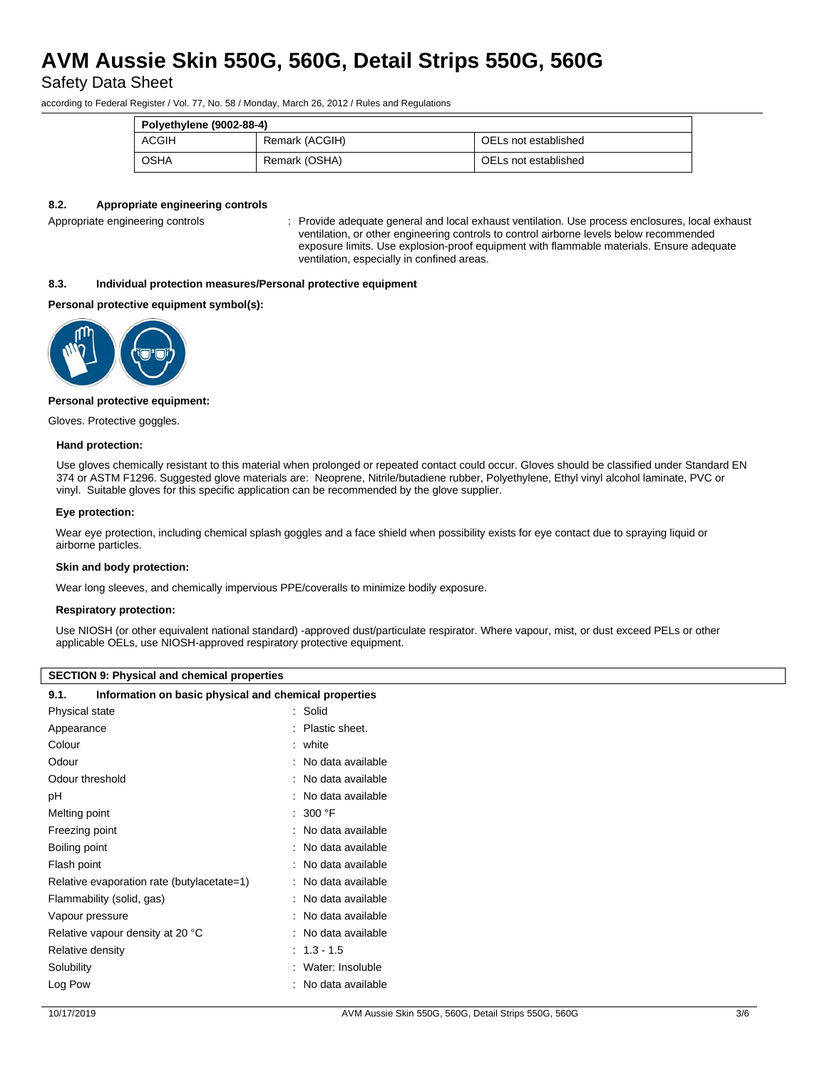Safety Data Sheet

according to Federal Register / Vol. 77, No. 58 / Monday, March 26, 2012 / Rules and Regulations

| Polyethylene (9002-88-4) |                |                      |  |  |
|--------------------------|----------------|----------------------|--|--|
| <b>ACGIH</b>             | Remark (ACGIH) | OELs not established |  |  |
| <b>OSHA</b>              | Remark (OSHA)  | OELs not established |  |  |

#### **8.2. Appropriate engineering controls**

Appropriate engineering controls : Provide adequate general and local exhaust ventilation. Use process enclosures, local exhaust ventilation, or other engineering controls to control airborne levels below recommended exposure limits. Use explosion-proof equipment with flammable materials. Ensure adequate ventilation, especially in confined areas.

#### **8.3. Individual protection measures/Personal protective equipment**

#### **Personal protective equipment symbol(s):**



#### **Personal protective equipment:**

Gloves. Protective goggles.

#### **Hand protection:**

Use gloves chemically resistant to this material when prolonged or repeated contact could occur. Gloves should be classified under Standard EN 374 or ASTM F1296. Suggested glove materials are: Neoprene, Nitrile/butadiene rubber, Polyethylene, Ethyl vinyl alcohol laminate, PVC or vinyl. Suitable gloves for this specific application can be recommended by the glove supplier.

#### **Eye protection:**

Wear eye protection, including chemical splash goggles and a face shield when possibility exists for eye contact due to spraying liquid or airborne particles.

#### **Skin and body protection:**

Wear long sleeves, and chemically impervious PPE/coveralls to minimize bodily exposure.

#### **Respiratory protection:**

Use NIOSH (or other equivalent national standard) -approved dust/particulate respirator. Where vapour, mist, or dust exceed PELs or other applicable OELs, use NIOSH-approved respiratory protective equipment.

### **SECTION 9: Physical and chemical properties**

| Information on basic physical and chemical properties<br>9.1. |  |                   |
|---------------------------------------------------------------|--|-------------------|
| Physical state                                                |  | : Solid           |
| Appearance                                                    |  | Plastic sheet.    |
| Colour                                                        |  | white             |
| Odour                                                         |  | No data available |
| Odour threshold                                               |  | No data available |
| рH                                                            |  | No data available |
| Melting point                                                 |  | 300 °F            |
| Freezing point                                                |  | No data available |
| Boiling point                                                 |  | No data available |
| Flash point                                                   |  | No data available |
| Relative evaporation rate (butylacetate=1)                    |  | No data available |
| Flammability (solid, gas)                                     |  | No data available |
| Vapour pressure                                               |  | No data available |
| Relative vapour density at 20 °C                              |  | No data available |
| Relative density                                              |  | $: 1.3 - 1.5$     |
| Solubility                                                    |  | Water: Insoluble  |
| Log Pow                                                       |  | No data available |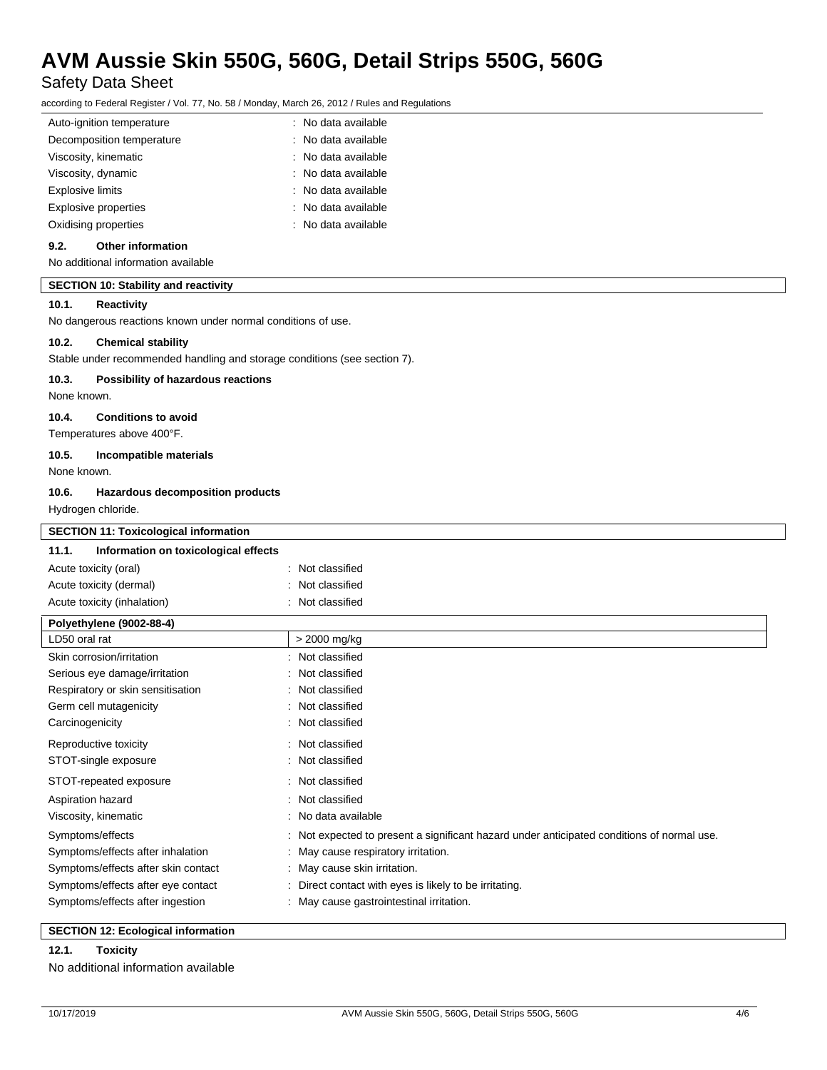Safety Data Sheet

according to Federal Register / Vol. 77, No. 58 / Monday, March 26, 2012 / Rules and Regulations

| Auto-ignition temperature   | : No data available |
|-----------------------------|---------------------|
| Decomposition temperature   | : No data available |
| Viscosity, kinematic        | : No data available |
| Viscosity, dynamic          | : No data available |
| <b>Explosive limits</b>     | : No data available |
| <b>Explosive properties</b> | : No data available |
| Oxidising properties        | : No data available |
|                             |                     |

### **9.2. Other information**

No additional information available

#### **SECTION 10: Stability and reactivity**

#### **10.1. Reactivity**

No dangerous reactions known under normal conditions of use.

#### **10.2. Chemical stability**

Stable under recommended handling and storage conditions (see section 7).

#### **10.3. Possibility of hazardous reactions**

None known.

#### **10.4. Conditions to avoid**

Temperatures above 400°F.

#### **10.5. Incompatible materials**

None known.

#### **10.6. Hazardous decomposition products**

Hydrogen chloride.

| <b>SECTION 11: Toxicological information</b>  |                                                                                            |  |
|-----------------------------------------------|--------------------------------------------------------------------------------------------|--|
| 11.1.<br>Information on toxicological effects |                                                                                            |  |
| Acute toxicity (oral)                         | : Not classified                                                                           |  |
| Acute toxicity (dermal)                       | : Not classified                                                                           |  |
| Acute toxicity (inhalation)                   | : Not classified                                                                           |  |
| Polyethylene (9002-88-4)                      |                                                                                            |  |
| LD50 oral rat                                 | > 2000 mg/kg                                                                               |  |
| Skin corrosion/irritation                     | : Not classified                                                                           |  |
| Serious eye damage/irritation                 | : Not classified                                                                           |  |
| Respiratory or skin sensitisation             | : Not classified                                                                           |  |
| Germ cell mutagenicity                        | : Not classified                                                                           |  |
| Carcinogenicity                               | : Not classified                                                                           |  |
| Reproductive toxicity                         | : Not classified                                                                           |  |
| STOT-single exposure                          | : Not classified                                                                           |  |
| STOT-repeated exposure                        | : Not classified                                                                           |  |
| Aspiration hazard                             | : Not classified                                                                           |  |
| Viscosity, kinematic                          | : No data available                                                                        |  |
| Symptoms/effects                              | : Not expected to present a significant hazard under anticipated conditions of normal use. |  |
| Symptoms/effects after inhalation             | : May cause respiratory irritation.                                                        |  |
| Symptoms/effects after skin contact           | : May cause skin irritation.                                                               |  |
| Symptoms/effects after eye contact            | : Direct contact with eyes is likely to be irritating.                                     |  |
| Symptoms/effects after ingestion              | : May cause gastrointestinal irritation.                                                   |  |

### **SECTION 12: Ecological information**

### **12.1. Toxicity** No additional information available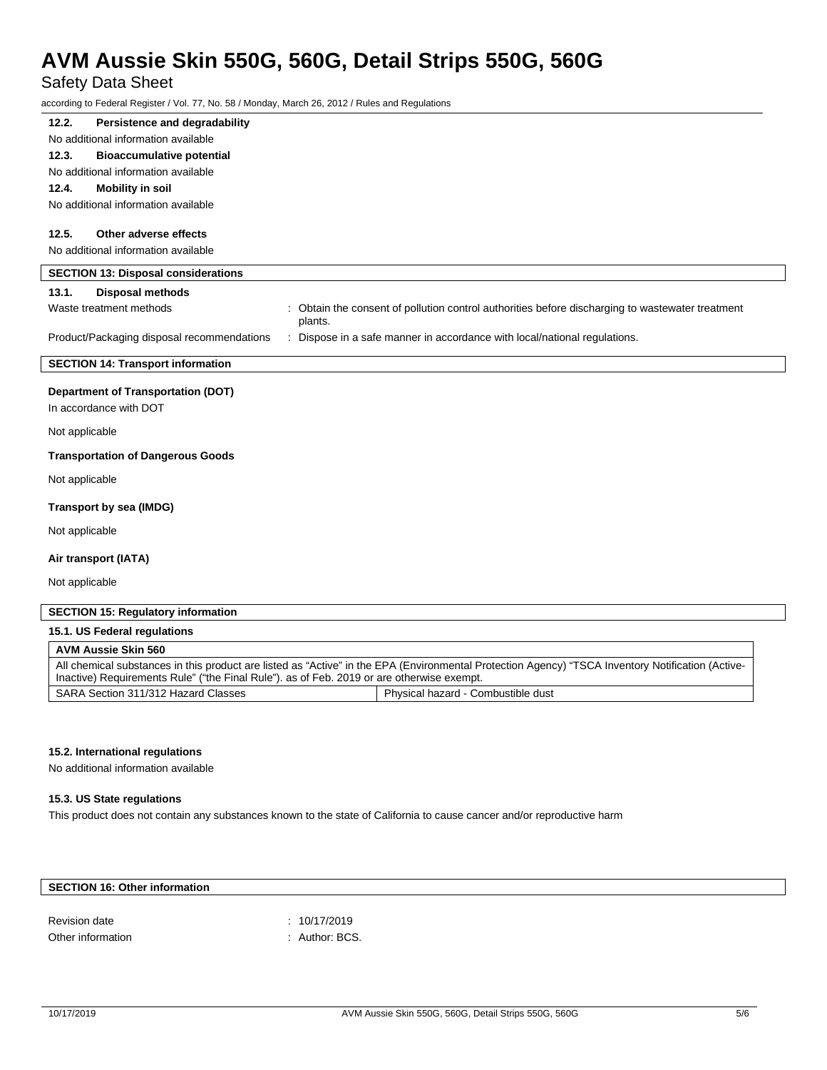## Safety Data Sheet

according to Federal Register / Vol. 77, No. 58 / Monday, March 26, 2012 / Rules and Regulations

| Persistence and degradability<br>12.2.                                                |                                                                                                                                                                                                                                                |
|---------------------------------------------------------------------------------------|------------------------------------------------------------------------------------------------------------------------------------------------------------------------------------------------------------------------------------------------|
| No additional information available                                                   |                                                                                                                                                                                                                                                |
| <b>Bioaccumulative potential</b><br>12.3.                                             |                                                                                                                                                                                                                                                |
| No additional information available                                                   |                                                                                                                                                                                                                                                |
| <b>Mobility in soil</b><br>12.4.                                                      |                                                                                                                                                                                                                                                |
| No additional information available                                                   |                                                                                                                                                                                                                                                |
| 12.5.<br>Other adverse effects                                                        |                                                                                                                                                                                                                                                |
| No additional information available                                                   |                                                                                                                                                                                                                                                |
| <b>SECTION 13: Disposal considerations</b>                                            |                                                                                                                                                                                                                                                |
| 13.1.<br><b>Disposal methods</b>                                                      |                                                                                                                                                                                                                                                |
| Waste treatment methods                                                               | : Obtain the consent of pollution control authorities before discharging to wastewater treatment<br>plants.                                                                                                                                    |
| Product/Packaging disposal recommendations                                            | : Dispose in a safe manner in accordance with local/national regulations.                                                                                                                                                                      |
| <b>SECTION 14: Transport information</b>                                              |                                                                                                                                                                                                                                                |
| <b>Department of Transportation (DOT)</b><br>In accordance with DOT<br>Not applicable |                                                                                                                                                                                                                                                |
|                                                                                       |                                                                                                                                                                                                                                                |
| <b>Transportation of Dangerous Goods</b>                                              |                                                                                                                                                                                                                                                |
| Not applicable                                                                        |                                                                                                                                                                                                                                                |
| Transport by sea (IMDG)                                                               |                                                                                                                                                                                                                                                |
| Not applicable                                                                        |                                                                                                                                                                                                                                                |
| Air transport (IATA)                                                                  |                                                                                                                                                                                                                                                |
| Not applicable                                                                        |                                                                                                                                                                                                                                                |
| <b>SECTION 15: Regulatory information</b>                                             |                                                                                                                                                                                                                                                |
| 15.1. US Federal regulations                                                          |                                                                                                                                                                                                                                                |
| <b>AVM Aussie Skin 560</b>                                                            |                                                                                                                                                                                                                                                |
|                                                                                       | All chemical substances in this product are listed as "Active" in the EPA (Environmental Protection Agency) "TSCA Inventory Notification (Active-<br>Inactive) Requirements Rule" ("the Final Rule"). as of Feb. 2019 or are otherwise exempt. |

### **15.2. International regulations**

No additional information available

### **15.3. US State regulations**

This product does not contain any substances known to the state of California to cause cancer and/or reproductive harm

SARA Section 311/312 Hazard Classes Physical hazard - Combustible dust

## **SECTION 16: Other information**

| Revision date     | : 10/17/2019   |
|-------------------|----------------|
| Other information | : Author: BCS. |